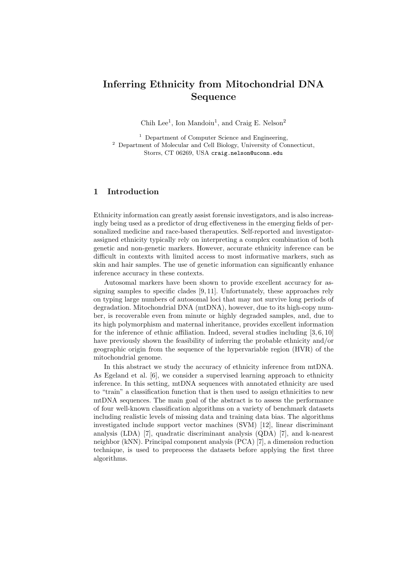# Inferring Ethnicity from Mitochondrial DNA Sequence

Chih Lee<sup>1</sup>, Ion Mandoiu<sup>1</sup>, and Craig E. Nelson<sup>2</sup>

<sup>1</sup> Department of Computer Science and Engineering, <sup>2</sup> Department of Molecular and Cell Biology, University of Connecticut, Storrs, CT 06269, USA craig.nelson@uconn.edu

## 1 Introduction

Ethnicity information can greatly assist forensic investigators, and is also increasingly being used as a predictor of drug effectiveness in the emerging fields of personalized medicine and race-based therapeutics. Self-reported and investigatorassigned ethnicity typically rely on interpreting a complex combination of both genetic and non-genetic markers. However, accurate ethnicity inference can be difficult in contexts with limited access to most informative markers, such as skin and hair samples. The use of genetic information can significantly enhance inference accuracy in these contexts.

Autosomal markers have been shown to provide excellent accuracy for assigning samples to specific clades [9, 11]. Unfortunately, these approaches rely on typing large numbers of autosomal loci that may not survive long periods of degradation. Mitochondrial DNA (mtDNA), however, due to its high-copy number, is recoverable even from minute or highly degraded samples, and, due to its high polymorphism and maternal inheritance, provides excellent information for the inference of ethnic affiliation. Indeed, several studies including [3, 6, 10] have previously shown the feasibility of inferring the probable ethnicity and/or geographic origin from the sequence of the hypervariable region (HVR) of the mitochondrial genome.

In this abstract we study the accuracy of ethnicity inference from mtDNA. As Egeland et al. [6], we consider a supervised learning approach to ethnicity inference. In this setting, mtDNA sequences with annotated ethnicity are used to "train" a classification function that is then used to assign ethnicities to new mtDNA sequences. The main goal of the abstract is to assess the performance of four well-known classification algorithms on a variety of benchmark datasets including realistic levels of missing data and training data bias. The algorithms investigated include support vector machines (SVM) [12], linear discriminant analysis (LDA) [7], quadratic discriminant analysis (QDA) [7], and k-nearest neighbor (kNN). Principal component analysis (PCA) [7], a dimension reduction technique, is used to preprocess the datasets before applying the first three algorithms.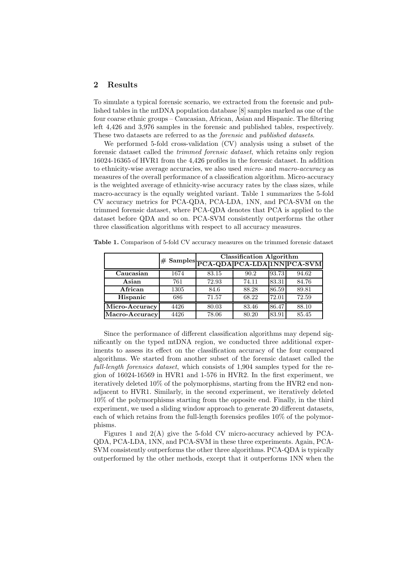#### 2 Results

To simulate a typical forensic scenario, we extracted from the forensic and published tables in the mtDNA population database [8] samples marked as one of the four coarse ethnic groups – Caucasian, African, Asian and Hispanic. The filtering left 4,426 and 3,976 samples in the forensic and published tables, respectively. These two datasets are referred to as the forensic and published datasets.

We performed 5-fold cross-validation (CV) analysis using a subset of the forensic dataset called the trimmed forensic dataset, which retains only region 16024-16365 of HVR1 from the 4,426 profiles in the forensic dataset. In addition to ethnicity-wise average accuracies, we also used micro- and macro-accuracy as measures of the overall performance of a classification algorithm. Micro-accuracy is the weighted average of ethnicity-wise accuracy rates by the class sizes, while macro-accuracy is the equally weighted variant. Table 1 summarizes the 5-fold CV accuracy metrics for PCA-QDA, PCA-LDA, 1NN, and PCA-SVM on the trimmed forensic dataset, where PCA-QDA denotes that PCA is applied to the dataset before QDA and so on. PCA-SVM consistently outperforms the other three classification algorithms with respect to all accuracy measures.

|                |      | <b>Classification Algorithm</b><br>$\# \textrm{ Samples} \boxed{\textbf{PCA-QDA PCA-LDA 1NN PCA-SVM}}$ |       |       |       |  |
|----------------|------|--------------------------------------------------------------------------------------------------------|-------|-------|-------|--|
|                |      |                                                                                                        |       |       |       |  |
| Caucasian      | 1674 | 83.15                                                                                                  | 90.2  | 93.73 | 94.62 |  |
| Asian          | 761  | 72.93                                                                                                  | 74.11 | 83.31 | 84.76 |  |
| African        | 1305 | 84.6                                                                                                   | 88.28 | 86.59 | 89.81 |  |
| Hispanic       | 686  | 71.57                                                                                                  | 68.22 | 72.01 | 72.59 |  |
| Micro-Accuracy | 4426 | 80.03                                                                                                  | 83.46 | 86.47 | 88.10 |  |
| Macro-Accuracy | 4426 | 78.06                                                                                                  | 80.20 | 83.91 | 85.45 |  |

Table 1. Comparison of 5-fold CV accuracy measures on the trimmed forensic dataset

Since the performance of different classification algorithms may depend significantly on the typed mtDNA region, we conducted three additional experiments to assess its effect on the classification accuracy of the four compared algorithms. We started from another subset of the forensic dataset called the full-length forensics dataset, which consists of 1,904 samples typed for the region of 16024-16569 in HVR1 and 1-576 in HVR2. In the first experiment, we iteratively deleted 10% of the polymorphisms, starting from the HVR2 end nonadjacent to HVR1. Similarly, in the second experiment, we iteratively deleted 10% of the polymorphisms starting from the opposite end. Finally, in the third experiment, we used a sliding window approach to generate 20 different datasets, each of which retains from the full-length forensics profiles 10% of the polymorphisms.

Figures 1 and 2(A) give the 5-fold CV micro-accuracy achieved by PCA-QDA, PCA-LDA, 1NN, and PCA-SVM in these three experiments. Again, PCA-SVM consistently outperforms the other three algorithms. PCA-QDA is typically outperformed by the other methods, except that it outperforms 1NN when the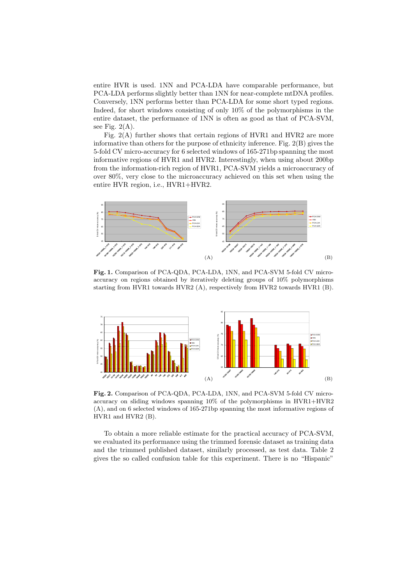entire HVR is used. 1NN and PCA-LDA have comparable performance, but PCA-LDA performs slightly better than 1NN for near-complete mtDNA profiles. Conversely, 1NN performs better than PCA-LDA for some short typed regions. Indeed, for short windows consisting of only 10% of the polymorphisms in the entire dataset, the performance of 1NN is often as good as that of PCA-SVM, see Fig.  $2(A)$ .

Fig. 2(A) further shows that certain regions of HVR1 and HVR2 are more informative than others for the purpose of ethnicity inference. Fig. 2(B) gives the 5-fold CV micro-accuracy for 6 selected windows of 165-271bp spanning the most informative regions of HVR1 and HVR2. Interestingly, when using about 200bp from the information-rich region of HVR1, PCA-SVM yields a microaccuracy of over 80%, very close to the microaccuracy achieved on this set when using the entire HVR region, i.e., HVR1+HVR2.



Fig. 1. Comparison of PCA-QDA, PCA-LDA, 1NN, and PCA-SVM 5-fold CV microaccuracy on regions obtained by iteratively deleting groups of 10% polymorphisms starting from HVR1 towards HVR2 (A), respectively from HVR2 towards HVR1 (B).



Fig. 2. Comparison of PCA-QDA, PCA-LDA, 1NN, and PCA-SVM 5-fold CV microaccuracy on sliding windows spanning 10% of the polymorphisms in HVR1+HVR2 (A), and on 6 selected windows of 165-271bp spanning the most informative regions of HVR1 and HVR2 (B).

To obtain a more reliable estimate for the practical accuracy of PCA-SVM, we evaluated its performance using the trimmed forensic dataset as training data and the trimmed published dataset, similarly processed, as test data. Table 2 gives the so called confusion table for this experiment. There is no "Hispanic"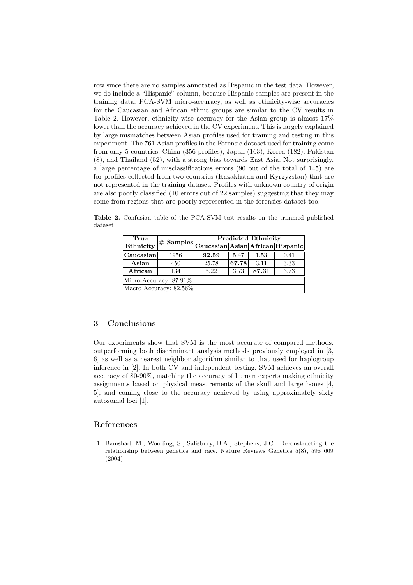row since there are no samples annotated as Hispanic in the test data. However, we do include a "Hispanic" column, because Hispanic samples are present in the training data. PCA-SVM micro-accuracy, as well as ethnicity-wise accuracies for the Caucasian and African ethnic groups are similar to the CV results in Table 2. However, ethnicity-wise accuracy for the Asian group is almost 17% lower than the accuracy achieved in the CV experiment. This is largely explained by large mismatches between Asian profiles used for training and testing in this experiment. The 761 Asian profiles in the Forensic dataset used for training come from only 5 countries: China (356 profiles), Japan (163), Korea (182), Pakistan (8), and Thailand (52), with a strong bias towards East Asia. Not surprisingly, a large percentage of misclassifications errors (90 out of the total of 145) are for profiles collected from two countries (Kazakhstan and Kyrgyzstan) that are not represented in the training dataset. Profiles with unknown country of origin are also poorly classified (10 errors out of 22 samples) suggesting that they may come from regions that are poorly represented in the forensics dataset too.

Table 2. Confusion table of the PCA-SVM test results on the trimmed published dataset

| True                   |      | <b>Predicted Ethnicity</b><br>$\left \# \textrm{ Samples}\right  \overline{\textrm{Caucasian} \textrm{Asian} \textrm{African} \textrm{Hispanic}}$ |       |       |      |  |  |
|------------------------|------|---------------------------------------------------------------------------------------------------------------------------------------------------|-------|-------|------|--|--|
| Ethnicity              |      |                                                                                                                                                   |       |       |      |  |  |
| Caucasian              | 1956 | 92.59                                                                                                                                             | 5.47  | 1.53  | 0.41 |  |  |
| Asian                  | 450  | 25.78                                                                                                                                             | 67.78 | 3.11  | 3.33 |  |  |
| African                | 134  | 5.22                                                                                                                                              | 3.73  | 87.31 | 3.73 |  |  |
| Micro-Accuracy: 87.91% |      |                                                                                                                                                   |       |       |      |  |  |
| Macro-Accuracy: 82.56% |      |                                                                                                                                                   |       |       |      |  |  |

### 3 Conclusions

Our experiments show that SVM is the most accurate of compared methods, outperforming both discriminant analysis methods previously employed in [3, 6] as well as a nearest neighbor algorithm similar to that used for haplogroup inference in [2]. In both CV and independent testing, SVM achieves an overall accuracy of 80-90%, matching the accuracy of human experts making ethnicity assignments based on physical measurements of the skull and large bones [4, 5], and coming close to the accuracy achieved by using approximately sixty autosomal loci [1].

#### References

1. Bamshad, M., Wooding, S., Salisbury, B.A., Stephens, J.C.: Deconstructing the relationship between genetics and race. Nature Reviews Genetics 5(8), 598–609 (2004)